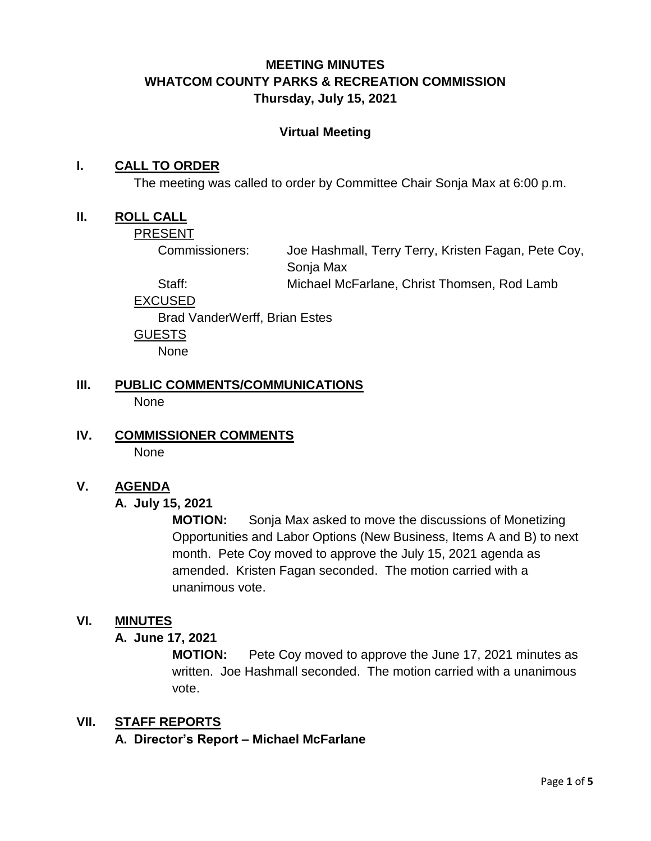## **MEETING MINUTES WHATCOM COUNTY PARKS & RECREATION COMMISSION Thursday, July 15, 2021**

#### **Virtual Meeting**

#### **I. CALL TO ORDER**

The meeting was called to order by Committee Chair Sonja Max at 6:00 p.m.

#### **II. ROLL CALL**

PRESENT

Commissioners: Joe Hashmall, Terry Terry, Kristen Fagan, Pete Coy, Sonja Max Staff: Michael McFarlane, Christ Thomsen, Rod Lamb

EXCUSED

Brad VanderWerff, Brian Estes GUESTS

None

- **III. PUBLIC COMMENTS/COMMUNICATIONS** None
- **IV. COMMISSIONER COMMENTS** None

#### **V. AGENDA**

#### **A. July 15, 2021**

**MOTION:** Sonja Max asked to move the discussions of Monetizing Opportunities and Labor Options (New Business, Items A and B) to next month. Pete Coy moved to approve the July 15, 2021 agenda as amended. Kristen Fagan seconded. The motion carried with a unanimous vote.

#### **VI. MINUTES**

### **A. June 17, 2021**

**MOTION:** Pete Coy moved to approve the June 17, 2021 minutes as written. Joe Hashmall seconded. The motion carried with a unanimous vote.

#### **VII. STAFF REPORTS**

**A. Director's Report – Michael McFarlane**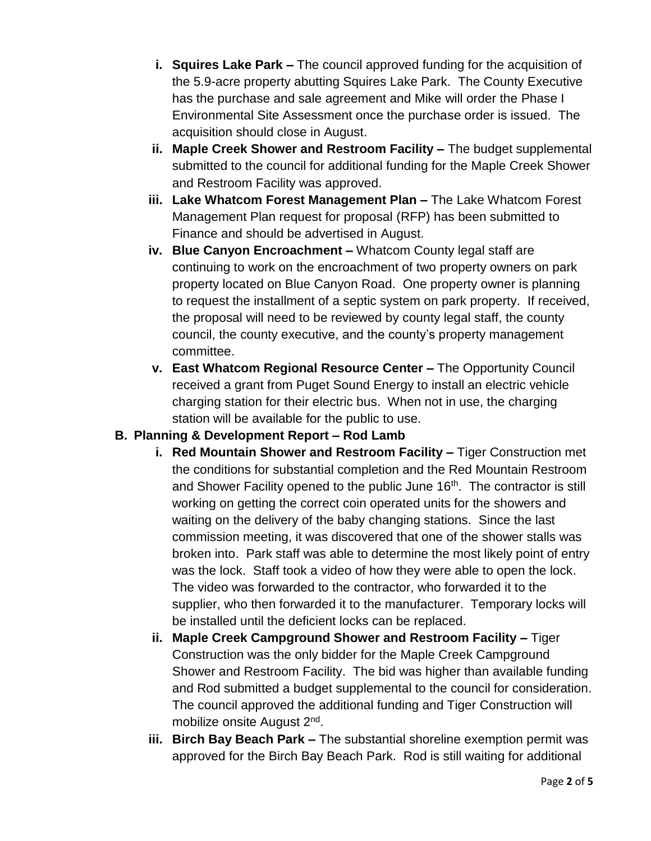- **i. Squires Lake Park –** The council approved funding for the acquisition of the 5.9-acre property abutting Squires Lake Park. The County Executive has the purchase and sale agreement and Mike will order the Phase I Environmental Site Assessment once the purchase order is issued. The acquisition should close in August.
- **ii. Maple Creek Shower and Restroom Facility –** The budget supplemental submitted to the council for additional funding for the Maple Creek Shower and Restroom Facility was approved.
- **iii. Lake Whatcom Forest Management Plan –** The Lake Whatcom Forest Management Plan request for proposal (RFP) has been submitted to Finance and should be advertised in August.
- **iv. Blue Canyon Encroachment –** Whatcom County legal staff are continuing to work on the encroachment of two property owners on park property located on Blue Canyon Road. One property owner is planning to request the installment of a septic system on park property. If received, the proposal will need to be reviewed by county legal staff, the county council, the county executive, and the county's property management committee.
- **v. East Whatcom Regional Resource Center –** The Opportunity Council received a grant from Puget Sound Energy to install an electric vehicle charging station for their electric bus. When not in use, the charging station will be available for the public to use.

# **B. Planning & Development Report – Rod Lamb**

- **i. Red Mountain Shower and Restroom Facility –** Tiger Construction met the conditions for substantial completion and the Red Mountain Restroom and Shower Facility opened to the public June 16<sup>th</sup>. The contractor is still working on getting the correct coin operated units for the showers and waiting on the delivery of the baby changing stations. Since the last commission meeting, it was discovered that one of the shower stalls was broken into. Park staff was able to determine the most likely point of entry was the lock. Staff took a video of how they were able to open the lock. The video was forwarded to the contractor, who forwarded it to the supplier, who then forwarded it to the manufacturer. Temporary locks will be installed until the deficient locks can be replaced.
- **ii. Maple Creek Campground Shower and Restroom Facility –** Tiger Construction was the only bidder for the Maple Creek Campground Shower and Restroom Facility. The bid was higher than available funding and Rod submitted a budget supplemental to the council for consideration. The council approved the additional funding and Tiger Construction will mobilize onsite August 2<sup>nd</sup>.
- **iii. Birch Bay Beach Park –** The substantial shoreline exemption permit was approved for the Birch Bay Beach Park. Rod is still waiting for additional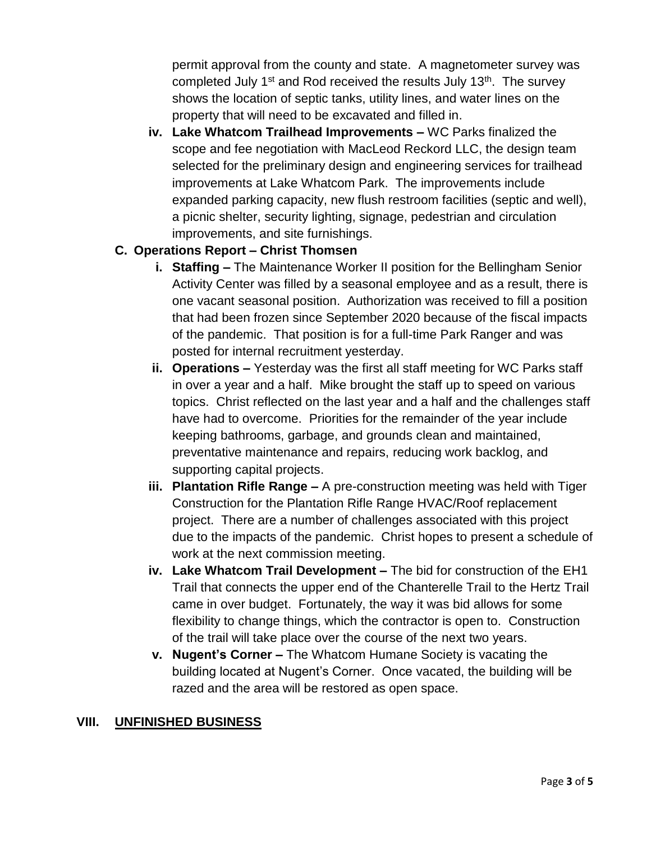permit approval from the county and state. A magnetometer survey was completed July  $1<sup>st</sup>$  and Rod received the results July  $13<sup>th</sup>$ . The survey shows the location of septic tanks, utility lines, and water lines on the property that will need to be excavated and filled in.

**iv. Lake Whatcom Trailhead Improvements –** WC Parks finalized the scope and fee negotiation with MacLeod Reckord LLC, the design team selected for the preliminary design and engineering services for trailhead improvements at Lake Whatcom Park. The improvements include expanded parking capacity, new flush restroom facilities (septic and well), a picnic shelter, security lighting, signage, pedestrian and circulation improvements, and site furnishings.

### **C. Operations Report – Christ Thomsen**

- **i. Staffing –** The Maintenance Worker II position for the Bellingham Senior Activity Center was filled by a seasonal employee and as a result, there is one vacant seasonal position. Authorization was received to fill a position that had been frozen since September 2020 because of the fiscal impacts of the pandemic. That position is for a full-time Park Ranger and was posted for internal recruitment yesterday.
- **ii. Operations –** Yesterday was the first all staff meeting for WC Parks staff in over a year and a half. Mike brought the staff up to speed on various topics. Christ reflected on the last year and a half and the challenges staff have had to overcome. Priorities for the remainder of the year include keeping bathrooms, garbage, and grounds clean and maintained, preventative maintenance and repairs, reducing work backlog, and supporting capital projects.
- **iii. Plantation Rifle Range –** A pre-construction meeting was held with Tiger Construction for the Plantation Rifle Range HVAC/Roof replacement project. There are a number of challenges associated with this project due to the impacts of the pandemic. Christ hopes to present a schedule of work at the next commission meeting.
- **iv. Lake Whatcom Trail Development –** The bid for construction of the EH1 Trail that connects the upper end of the Chanterelle Trail to the Hertz Trail came in over budget. Fortunately, the way it was bid allows for some flexibility to change things, which the contractor is open to. Construction of the trail will take place over the course of the next two years.
- **v. Nugent's Corner –** The Whatcom Humane Society is vacating the building located at Nugent's Corner. Once vacated, the building will be razed and the area will be restored as open space.

#### **VIII. UNFINISHED BUSINESS**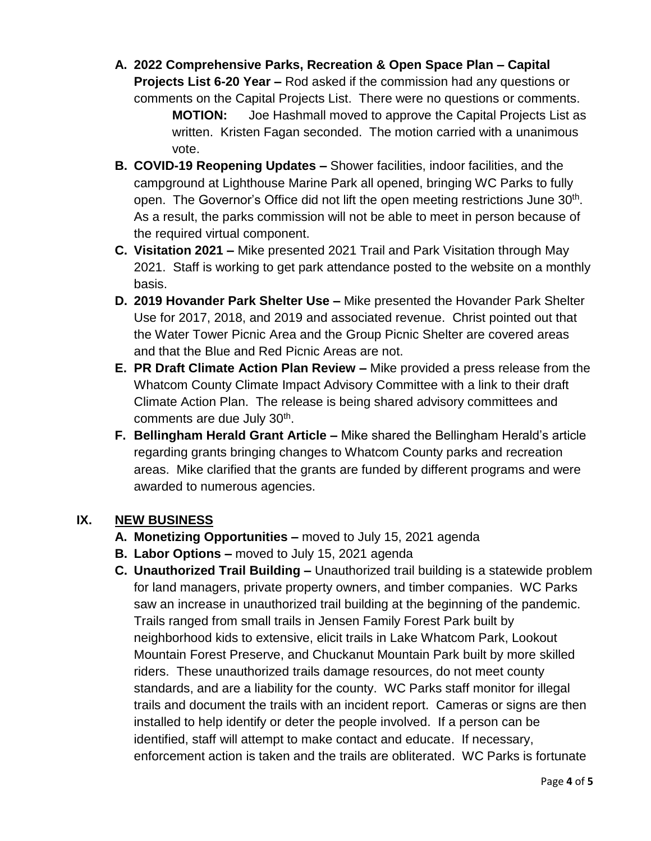**A. 2022 Comprehensive Parks, Recreation & Open Space Plan – Capital Projects List 6-20 Year –** Rod asked if the commission had any questions or comments on the Capital Projects List. There were no questions or comments.

**MOTION:** Joe Hashmall moved to approve the Capital Projects List as written. Kristen Fagan seconded. The motion carried with a unanimous vote.

- **B. COVID-19 Reopening Updates –** Shower facilities, indoor facilities, and the campground at Lighthouse Marine Park all opened, bringing WC Parks to fully open. The Governor's Office did not lift the open meeting restrictions June 30<sup>th</sup>. As a result, the parks commission will not be able to meet in person because of the required virtual component.
- **C. Visitation 2021 –** Mike presented 2021 Trail and Park Visitation through May 2021. Staff is working to get park attendance posted to the website on a monthly basis.
- **D. 2019 Hovander Park Shelter Use –** Mike presented the Hovander Park Shelter Use for 2017, 2018, and 2019 and associated revenue. Christ pointed out that the Water Tower Picnic Area and the Group Picnic Shelter are covered areas and that the Blue and Red Picnic Areas are not.
- **E. PR Draft Climate Action Plan Review –** Mike provided a press release from the Whatcom County Climate Impact Advisory Committee with a link to their draft Climate Action Plan. The release is being shared advisory committees and comments are due July 30<sup>th</sup>.
- **F. Bellingham Herald Grant Article –** Mike shared the Bellingham Herald's article regarding grants bringing changes to Whatcom County parks and recreation areas. Mike clarified that the grants are funded by different programs and were awarded to numerous agencies.

# **IX. NEW BUSINESS**

- **A. Monetizing Opportunities –** moved to July 15, 2021 agenda
- **B. Labor Options –** moved to July 15, 2021 agenda
- **C. Unauthorized Trail Building –** Unauthorized trail building is a statewide problem for land managers, private property owners, and timber companies. WC Parks saw an increase in unauthorized trail building at the beginning of the pandemic. Trails ranged from small trails in Jensen Family Forest Park built by neighborhood kids to extensive, elicit trails in Lake Whatcom Park, Lookout Mountain Forest Preserve, and Chuckanut Mountain Park built by more skilled riders. These unauthorized trails damage resources, do not meet county standards, and are a liability for the county. WC Parks staff monitor for illegal trails and document the trails with an incident report. Cameras or signs are then installed to help identify or deter the people involved. If a person can be identified, staff will attempt to make contact and educate. If necessary, enforcement action is taken and the trails are obliterated. WC Parks is fortunate